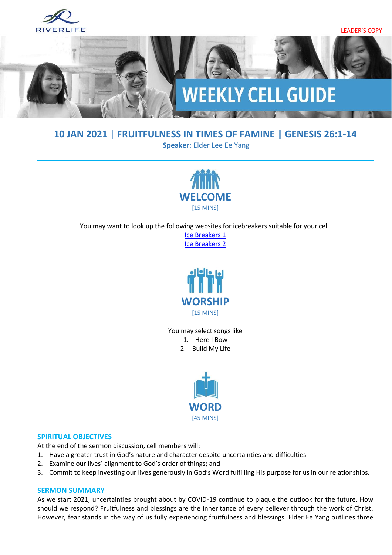

### **10 JAN 2021** | **FRUITFULNESS IN TIMES OF FAMINE | GENESIS 26:1-14**

**Speaker**: Elder Lee Ee Yang



You may want to look up the following websites for icebreakers suitable for your cell.

[Ice Breakers 1](http://www.thesource4ym.com/games/) [Ice Breakers 2](http://www.christianitytoday.com/smallgroups/articles/icebreakersbeyond.html)



You may select songs like 1. Here I Bow

2. Build My Life



#### **SPIRITUAL OBJECTIVES**

At the end of the sermon discussion, cell members will:

- 1. Have a greater trust in God's nature and character despite uncertainties and difficulties
- 2. Examine our lives' alignment to God's order of things; and
- 3. Commit to keep investing our lives generously in God's Word fulfilling His purpose for us in our relationships.

#### **SERMON SUMMARY**

As we start 2021, uncertainties brought about by COVID-19 continue to plaque the outlook for the future. How should we respond? Fruitfulness and blessings are the inheritance of every believer through the work of Christ. However, fear stands in the way of us fully experiencing fruitfulness and blessings. Elder Ee Yang outlines three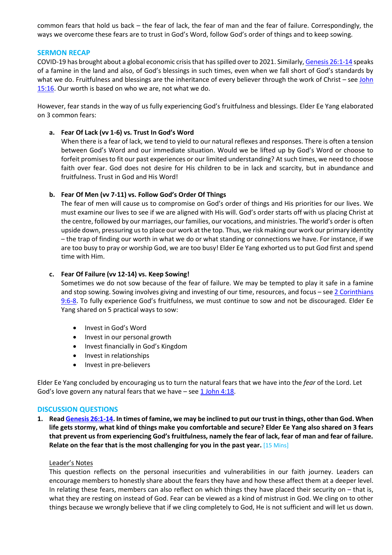common fears that hold us back – the fear of lack, the fear of man and the fear of failure. Correspondingly, the ways we overcome these fears are to trust in God's Word, follow God's order of things and to keep sowing.

#### **SERMON RECAP**

COVID-19 has brought about a global economic crisis that has spilled over to 2021. Similarly[, Genesis 26:1-14](https://www.biblegateway.com/passage/?search=Genesis+26%3A1-14&version=ESV) speaks of a famine in the land and also, of God's blessings in such times, even when we fall short of God's standards by what we do. Fruitfulness and blessings are the inheritance of every believer through the work of Christ – see John [15:16.](https://www.biblegateway.com/passage/?search=John+15%3A16&version=ESV) Our worth is based on who we are, not what we do.

However, fear stands in the way of us fully experiencing God's fruitfulness and blessings. Elder Ee Yang elaborated on 3 common fears:

#### **a. Fear Of Lack (vv 1-6) vs. Trust In God's Word**

When there is a fear of lack, we tend to yield to our natural reflexes and responses. There is often a tension between God's Word and our immediate situation. Would we be lifted up by God's Word or choose to forfeit promises to fit our past experiences or our limited understanding? At such times, we need to choose faith over fear. God does not desire for His children to be in lack and scarcity, but in abundance and fruitfulness. Trust in God and His Word!

#### **b. Fear Of Men (vv 7-11) vs. Follow God's Order Of Things**

The fear of men will cause us to compromise on God's order of things and His priorities for our lives. We must examine our lives to see if we are aligned with His will. God's order starts off with us placing Christ at the centre, followed by our marriages, our families, our vocations, and ministries. The world's order is often upside down, pressuring us to place our work at the top. Thus, we risk making our work our primary identity – the trap of finding our worth in what we do or what standing or connections we have. For instance, if we are too busy to pray or worship God, we are too busy! Elder Ee Yang exhorted us to put God first and spend time with Him.

#### **c. Fear Of Failure (vv 12-14) vs. Keep Sowing!**

Sometimes we do not sow because of the fear of failure. We may be tempted to play it safe in a famine and stop sowing. Sowing involves giving and investing of our time, resources, and focus - see 2 Corinthians [9:6-8](https://www.biblegateway.com/passage/?search=2+Corinthians+9%3A6-8&version=ESV). To fully experience God's fruitfulness, we must continue to sow and not be discouraged. Elder Ee Yang shared on 5 practical ways to sow:

- Invest in God's Word
- Invest in our personal growth
- Invest financially in God's Kingdom
- Invest in relationships
- Invest in pre-believers

Elder Ee Yang concluded by encouraging us to turn the natural fears that we have into the *fear* of the Lord. Let God's love govern any natural fears that we have  $-$  see  $\underline{1$  John 4:18.

#### **DISCUSSION QUESTIONS**

**1. Read [Genesis 26:1-14.](https://www.biblegateway.com/passage/?search=Genesis+26%3A1-14&version=ESV) In times of famine, we may be inclined to put our trust in things, other than God. When life gets stormy, what kind of things make you comfortable and secure? Elder Ee Yang also shared on 3 fears that prevent us from experiencing God's fruitfulness, namely the fear of lack, fear of man and fear of failure. Relate on the fear that is the most challenging for you in the past year.** [15 Mins]

#### Leader's Notes

This question reflects on the personal insecurities and vulnerabilities in our faith journey. Leaders can encourage members to honestly share about the fears they have and how these affect them at a deeper level. In relating these fears, members can also reflect on which things they have placed their security on – that is, what they are resting on instead of God. Fear can be viewed as a kind of mistrust in God. We cling on to other things because we wrongly believe that if we cling completely to God, He is not sufficient and will let us down.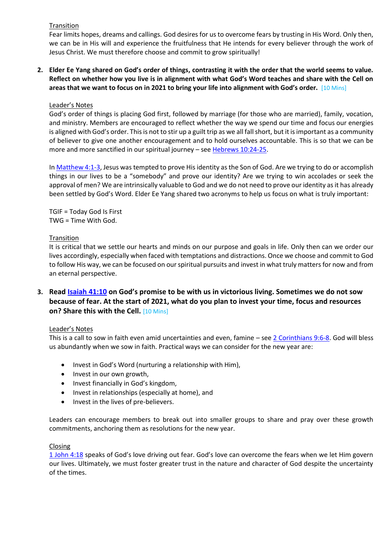#### Transition

Fear limits hopes, dreams and callings. God desires for us to overcome fears by trusting in His Word. Only then, we can be in His will and experience the fruitfulness that He intends for every believer through the work of Jesus Christ. We must therefore choose and commit to grow spiritually!

**2. Elder Ee Yang shared on God's order of things, contrasting it with the order that the world seems to value. Reflect on whether how you live is in alignment with what God's Word teaches and share with the Cell on areas that we want to focus on in 2021 to bring your life into alignment with God's order.** [10 Mins]

#### Leader's Notes

God's order of things is placing God first, followed by marriage (for those who are married), family, vocation, and ministry. Members are encouraged to reflect whether the way we spend our time and focus our energies is aligned with God's order. This is not to stir up a guilt trip as we all fall short, but it is important as a community of believer to give one another encouragement and to hold ourselves accountable. This is so that we can be more and more sanctified in our spiritual journey – se[e Hebrews 10:24-25.](https://www.biblegateway.com/passage/?search=Hebrews+10%3A24-25&version=ESV)

I[n Matthew 4:1-3,](https://www.biblegateway.com/passage/?search=Matthew+4%3A1-3&version=ESV) Jesus was tempted to prove His identity as the Son of God. Are we trying to do or accomplish things in our lives to be a "somebody" and prove our identity? Are we trying to win accolades or seek the approval of men? We are intrinsically valuable to God and we do not need to prove our identity as it has already been settled by God's Word. Elder Ee Yang shared two acronyms to help us focus on what is truly important:

TGIF = Today God Is First TWG = Time With God.

#### Transition

It is critical that we settle our hearts and minds on our purpose and goals in life. Only then can we order our lives accordingly, especially when faced with temptations and distractions. Once we choose and commit to God to follow His way, we can be focused on our spiritual pursuits and invest in what truly matters for now and from an eternal perspective.

#### **3. Read [Isaiah 41:10](https://www.biblegateway.com/passage/?search=Isaiah+41%3A10&version=ESV) on God's promise to be with us in victorious living. Sometimes we do not sow because of fear. At the start of 2021, what do you plan to invest your time, focus and resources on? Share this with the Cell.** [10 Mins]

#### Leader's Notes

This is a call to sow in faith even amid uncertainties and even, famine – se[e 2 Corinthians 9:6-8.](https://www.biblegateway.com/passage/?search=2+Corinthians+9%3A6-8&version=ESV) God will bless us abundantly when we sow in faith. Practical ways we can consider for the new year are:

- Invest in God's Word (nurturing a relationship with Him),
- Invest in our own growth,
- Invest financially in God's kingdom,
- Invest in relationships (especially at home), and
- Invest in the lives of pre-believers.

Leaders can encourage members to break out into smaller groups to share and pray over these growth commitments, anchoring them as resolutions for the new year.

#### Closing

[1 John 4:18](https://www.biblegateway.com/passage/?search=1+John+4%3A18&version=ESV) speaks of God's love driving out fear. God's love can overcome the fears when we let Him govern our lives. Ultimately, we must foster greater trust in the nature and character of God despite the uncertainty of the times.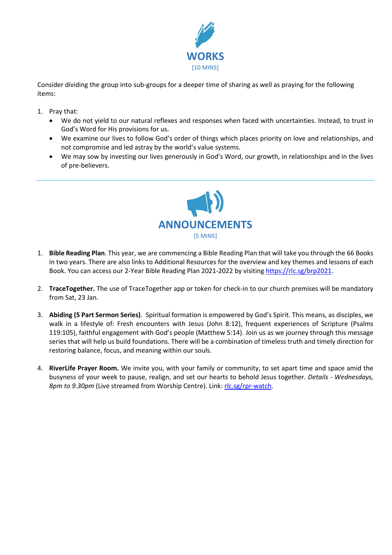

Consider dividing the group into sub-groups for a deeper time of sharing as well as praying for the following items:

- 1. Pray that:
	- We do not yield to our natural reflexes and responses when faced with uncertainties. Instead, to trust in God's Word for His provisions for us.
	- We examine our lives to follow God's order of things which places priority on love and relationships, and not compromise and led astray by the world's value systems.
	- We may sow by investing our lives generously in God's Word, our growth, in relationships and in the lives of pre-believers.



- 1. **Bible Reading Plan**. This year, we are commencing a Bible Reading Plan that will take you through the 66 Books in two years. There are also links to Additional Resources for the overview and key themes and lessons of each Book. You can access our 2-Year Bible Reading Plan 2021-2022 by visiting [https://rlc.sg/brp2021.](https://rlc.sg/brp2021)
- 2. **TraceTogether.** The use of TraceTogether app or token for check-in to our church premises will be mandatory from Sat, 23 Jan.
- 3. **Abiding (5 Part Sermon Series)**. Spiritual formation is empowered by God's Spirit. This means, as disciples, we walk in a lifestyle of: Fresh encounters with Jesus (John 8:12), frequent experiences of Scripture (Psalms 119:105), faithful engagement with God's people (Matthew 5:14). Join us as we journey through this message series that will help us build foundations. There will be a combination of timeless truth and timely direction for restoring balance, focus, and meaning within our souls.
- 4. **RiverLife Prayer Room.** We invite you, with your family or community, to set apart time and space amid the busyness of your week to pause, realign, and set our hearts to behold Jesus together. *Details - Wednesdays, 8pm to 9.30pm* (Live streamed from Worship Centre). Link[: rlc.sg/rpr-watch.](file:///C:/Users/MosesSho/AppData/Local/Microsoft/Windows/INetCache/Content.Outlook/FUASCOA3/rlc.sg/rpr-watch)